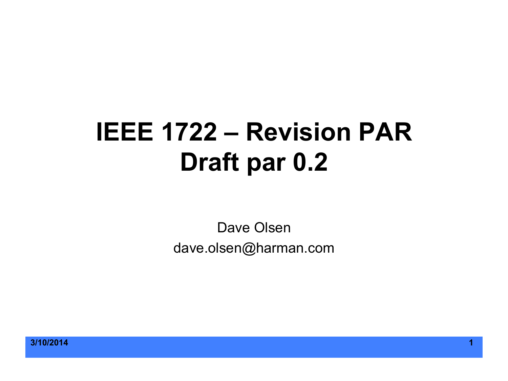## **IEEE 1722 – Revision PAR Draft par 0.2**

Dave Olsen dave.olsen@harman.com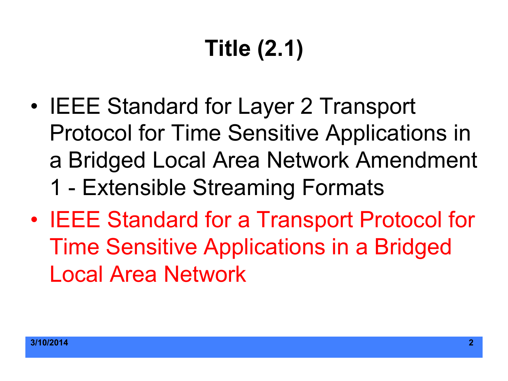# **Title (2.1)**

- IEEE Standard for Layer 2 Transport Protocol for Time Sensitive Applications in a Bridged Local Area Network Amendment 1 - Extensible Streaming Formats
- IEEE Standard for a Transport Protocol for Time Sensitive Applications in a Bridged Local Area Network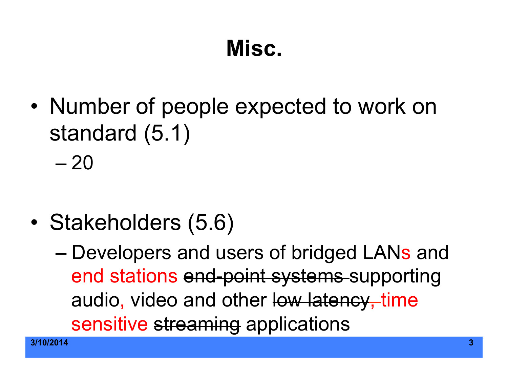#### **Misc.**

• Number of people expected to work on standard (5.1)

 $-20$ 

- Stakeholders (5.6)
	- Developers and users of bridged LANs and end stations end-point systems supporting audio, video and other low latency, time sensitive streaming applications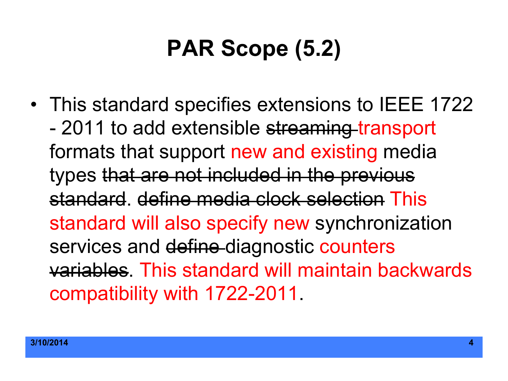## **PAR Scope (5.2)**

• This standard specifies extensions to IEEE 1722 - 2011 to add extensible streaming transport formats that support new and existing media types that are not included in the previous standard. define media clock selection This standard will also specify new synchronization services and define-diagnostic counters variables. This standard will maintain backwards compatibility with 1722-2011.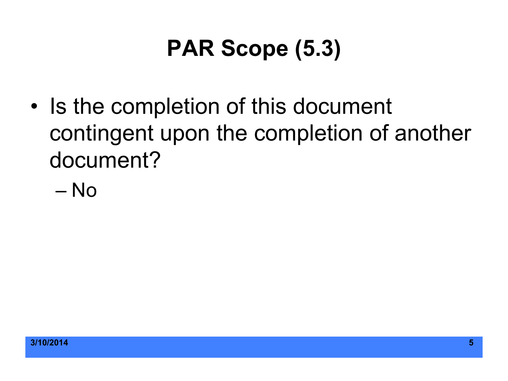## **PAR Scope (5.3)**

• Is the completion of this document contingent upon the completion of another document?

– No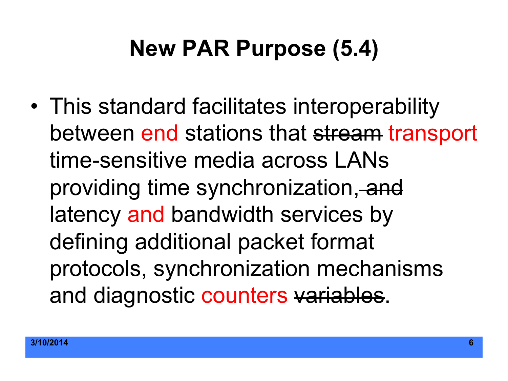#### **New PAR Purpose (5.4)**

• This standard facilitates interoperability between end stations that stream transport time-sensitive media across LANs providing time synchronization, and latency and bandwidth services by defining additional packet format protocols, synchronization mechanisms and diagnostic counters variables.